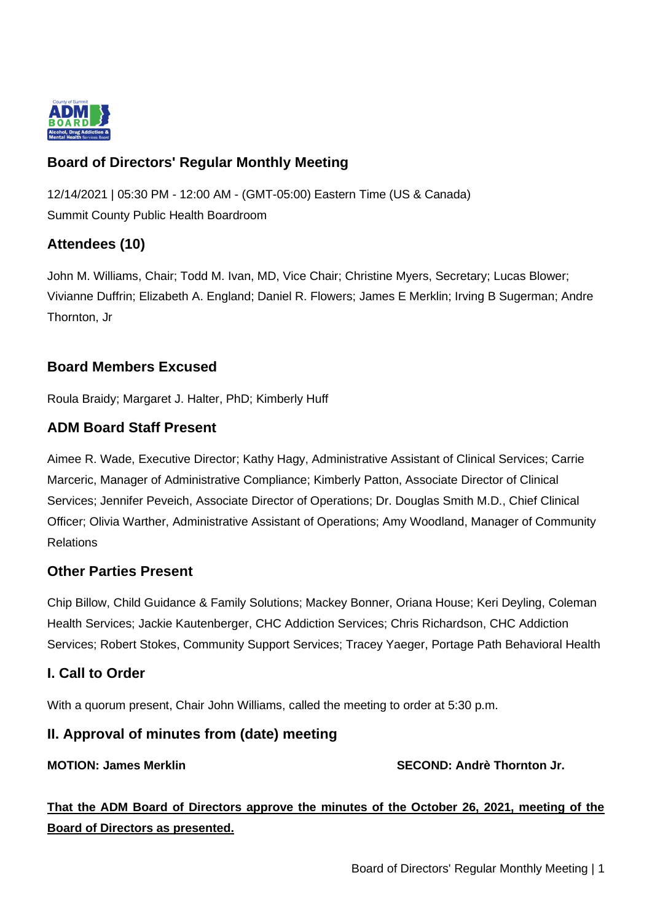

# **Board of Directors' Regular Monthly Meeting**

12/14/2021 | 05:30 PM - 12:00 AM - (GMT-05:00) Eastern Time (US & Canada) Summit County Public Health Boardroom

# **Attendees (10)**

John M. Williams, Chair; Todd M. Ivan, MD, Vice Chair; Christine Myers, Secretary; Lucas Blower; Vivianne Duffrin; Elizabeth A. England; Daniel R. Flowers; James E Merklin; Irving B Sugerman; Andre Thornton, Jr

# **Board Members Excused**

Roula Braidy; Margaret J. Halter, PhD; Kimberly Huff

## **ADM Board Staff Present**

Aimee R. Wade, Executive Director; Kathy Hagy, Administrative Assistant of Clinical Services; Carrie Marceric, Manager of Administrative Compliance; Kimberly Patton, Associate Director of Clinical Services; Jennifer Peveich, Associate Director of Operations; Dr. Douglas Smith M.D., Chief Clinical Officer; Olivia Warther, Administrative Assistant of Operations; Amy Woodland, Manager of Community Relations

#### **Other Parties Present**

Chip Billow, Child Guidance & Family Solutions; Mackey Bonner, Oriana House; Keri Deyling, Coleman Health Services; Jackie Kautenberger, CHC Addiction Services; Chris Richardson, CHC Addiction Services; Robert Stokes, Community Support Services; Tracey Yaeger, Portage Path Behavioral Health

#### **I. Call to Order**

With a quorum present, Chair John Williams, called the meeting to order at 5:30 p.m.

#### **II. Approval of minutes from (date) meeting**

MOTION: James Merklin SECOND: Andrè Thornton Jr.

**That the ADM Board of Directors approve the minutes of the October 26, 2021, meeting of the Board of Directors as presented.**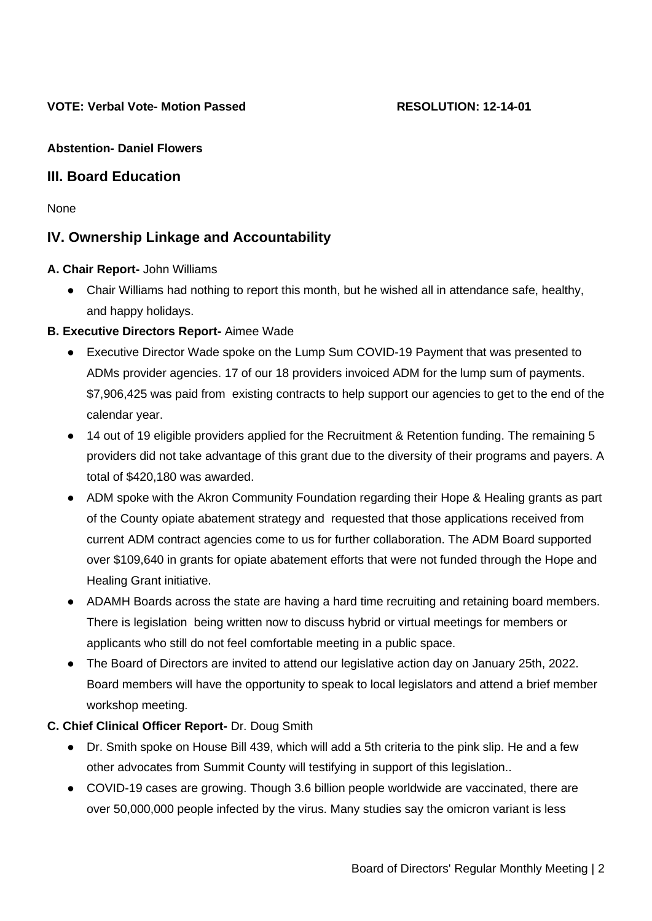#### **Abstention- Daniel Flowers**

## **III. Board Education**

None

# **IV. Ownership Linkage and Accountability**

- **A. Chair Report-** John Williams
	- Chair Williams had nothing to report this month, but he wished all in attendance safe, healthy, and happy holidays.

#### **B. Executive Directors Report-** Aimee Wade

- Executive Director Wade spoke on the Lump Sum COVID-19 Payment that was presented to ADMs provider agencies. 17 of our 18 providers invoiced ADM for the lump sum of payments. \$7,906,425 was paid from existing contracts to help support our agencies to get to the end of the calendar year.
- 14 out of 19 eligible providers applied for the Recruitment & Retention funding. The remaining 5 providers did not take advantage of this grant due to the diversity of their programs and payers. A total of \$420,180 was awarded.
- ADM spoke with the Akron Community Foundation regarding their Hope & Healing grants as part of the County opiate abatement strategy and requested that those applications received from current ADM contract agencies come to us for further collaboration. The ADM Board supported over \$109,640 in grants for opiate abatement efforts that were not funded through the Hope and Healing Grant initiative.
- ADAMH Boards across the state are having a hard time recruiting and retaining board members. There is legislation being written now to discuss hybrid or virtual meetings for members or applicants who still do not feel comfortable meeting in a public space.
- The Board of Directors are invited to attend our legislative action day on January 25th, 2022. Board members will have the opportunity to speak to local legislators and attend a brief member workshop meeting.

#### **C. Chief Clinical Officer Report-** Dr. Doug Smith

- Dr. Smith spoke on House Bill 439, which will add a 5th criteria to the pink slip. He and a few other advocates from Summit County will testifying in support of this legislation..
- COVID-19 cases are growing. Though 3.6 billion people worldwide are vaccinated, there are over 50,000,000 people infected by the virus. Many studies say the omicron variant is less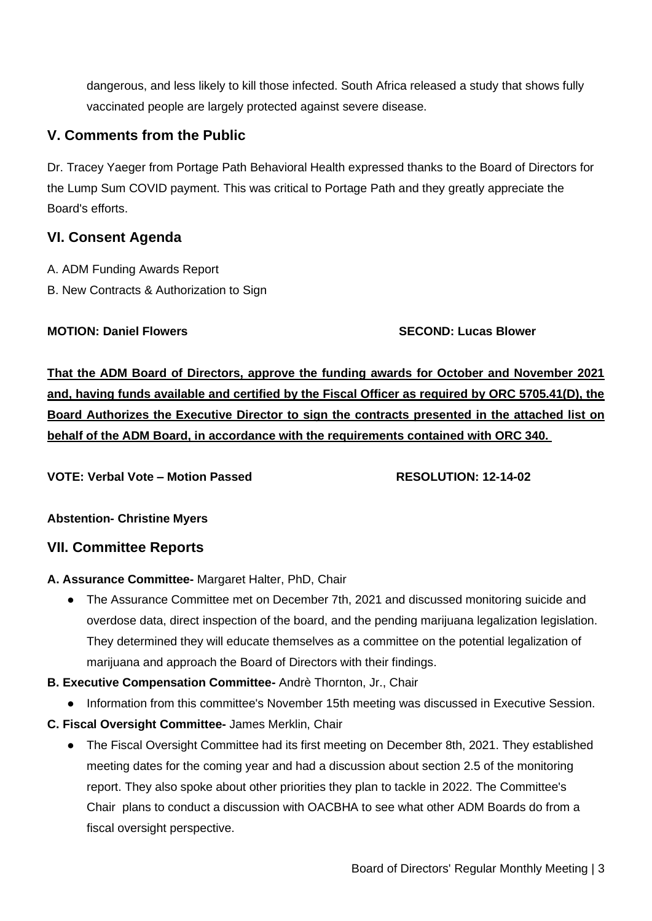dangerous, and less likely to kill those infected. South Africa released a study that shows fully vaccinated people are largely protected against severe disease.

# **V. Comments from the Public**

Dr. Tracey Yaeger from Portage Path Behavioral Health expressed thanks to the Board of Directors for the Lump Sum COVID payment. This was critical to Portage Path and they greatly appreciate the Board's efforts.

## **VI. Consent Agenda**

- A. ADM Funding Awards Report
- B. New Contracts & Authorization to Sign

#### **MOTION: Daniel Flowers SECOND: Lucas Blower**

**That the ADM Board of Directors, approve the funding awards for October and November 2021 and, having funds available and certified by the Fiscal Officer as required by ORC 5705.41(D), the Board Authorizes the Executive Director to sign the contracts presented in the attached list on behalf of the ADM Board, in accordance with the requirements contained with ORC 340.**

**VOTE: Verbal Vote – Motion Passed RESOLUTION: 12-14-02**

**Abstention- Christine Myers**

#### **VII. Committee Reports**

#### **A. Assurance Committee-** Margaret Halter, PhD, Chair

- The Assurance Committee met on December 7th, 2021 and discussed monitoring suicide and overdose data, direct inspection of the board, and the pending marijuana legalization legislation. They determined they will educate themselves as a committee on the potential legalization of marijuana and approach the Board of Directors with their findings.
- **B. Executive Compensation Committee-** Andrè Thornton, Jr., Chair
	- Information from this committee's November 15th meeting was discussed in Executive Session.
- **C. Fiscal Oversight Committee-** James Merklin, Chair
	- The Fiscal Oversight Committee had its first meeting on December 8th, 2021. They established meeting dates for the coming year and had a discussion about section 2.5 of the monitoring report. They also spoke about other priorities they plan to tackle in 2022. The Committee's Chair plans to conduct a discussion with OACBHA to see what other ADM Boards do from a fiscal oversight perspective.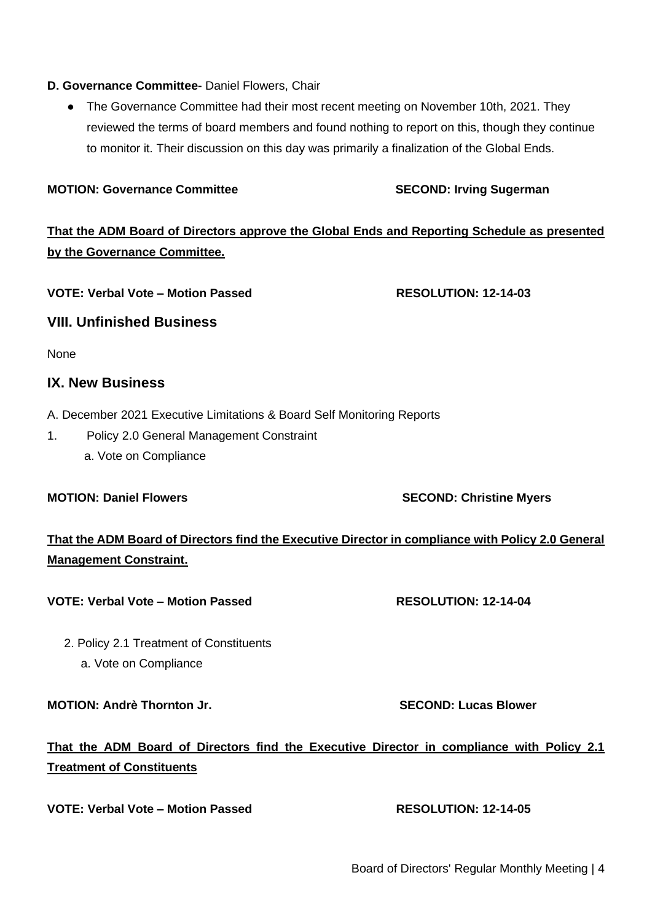Board of Directors' Regular Monthly Meeting | 4

#### **D. Governance Committee-** Daniel Flowers, Chair

• The Governance Committee had their most recent meeting on November 10th, 2021. They reviewed the terms of board members and found nothing to report on this, though they continue to monitor it. Their discussion on this day was primarily a finalization of the Global Ends.

#### **MOTION: Governance Committee SECOND: Irving Sugerman**

**That the ADM Board of Directors approve the Global Ends and Reporting Schedule as presented by the Governance Committee.**

VOTE: Verbal Vote – Motion Passed RESOLUTION: 12-14-03

# **VIII. Unfinished Business**

None

# **IX. New Business**

- A. December 2021 Executive Limitations & Board Self Monitoring Reports
- 1. Policy 2.0 General Management Constraint a. Vote on Compliance

#### **MOTION: Daniel Flowers SECOND: Christine Myers**

# **That the ADM Board of Directors find the Executive Director in compliance with Policy 2.0 General Management Constraint.**

#### VOTE: Verbal Vote – Motion Passed RESOLUTION: 12-14-04

2. Policy 2.1 Treatment of Constituents a. Vote on Compliance

# **MOTION: Andrè Thornton Jr. SECOND: Lucas Blower**

# **Treatment of Constituents**

**That the ADM Board of Directors find the Executive Director in compliance with Policy 2.1** 

**VOTE: Verbal Vote – Motion Passed RESOLUTION: 12-14-05**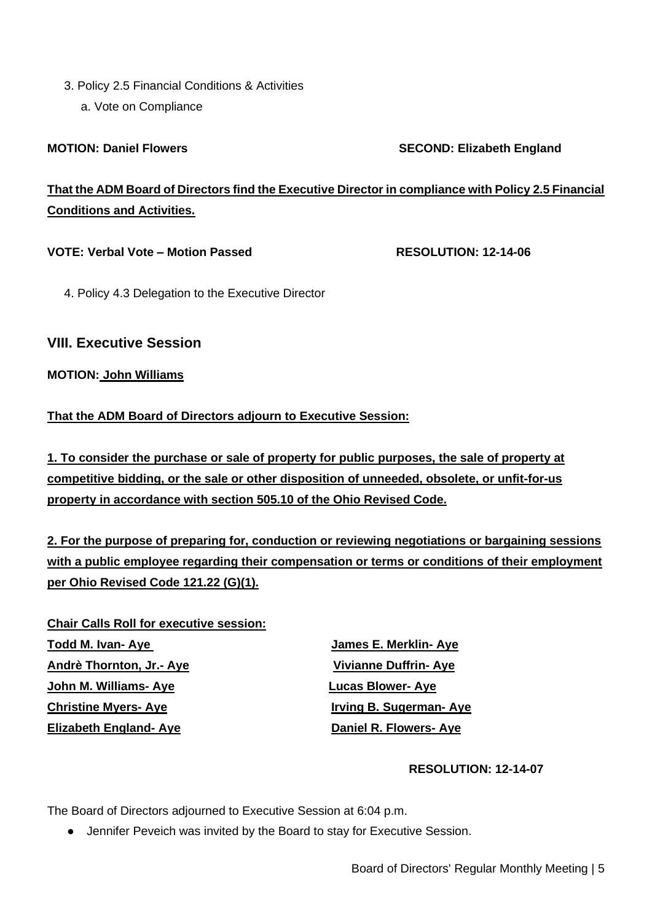3. Policy 2.5 Financial Conditions & Activities a. Vote on Compliance

**MOTION: Daniel Flowers SECOND: Elizabeth England** 

**That the ADM Board of Directors find the Executive Director in compliance with Policy 2.5 Financial Conditions and Activities.**

#### VOTE: Verbal Vote – Motion Passed RESOLUTION: 12-14-06

4. Policy 4.3 Delegation to the Executive Director

#### **VIII. Executive Session**

#### **MOTION: John Williams**

#### **That the ADM Board of Directors adjourn to Executive Session:**

**1. To consider the purchase or sale of property for public purposes, the sale of property at competitive bidding, or the sale or other disposition of unneeded, obsolete, or unfit-for-us property in accordance with section 505.10 of the Ohio Revised Code.**

**2. For the purpose of preparing for, conduction or reviewing negotiations or bargaining sessions with a public employee regarding their compensation or terms or conditions of their employment per Ohio Revised Code 121.22 (G)(1).**

**Chair Calls Roll for executive session: Todd M. Ivan- Aye James E. Merklin- Aye Andrè Thornton, Jr.- Aye Vivianne Duffrin- Aye John M. Williams- Aye Lucas Blower- Aye Christine Myers-Aye Irving B. Sugerman-Aye Elizabeth England- Aye Daniel R. Flowers- Aye**

#### **RESOLUTION: 12-14-07**

The Board of Directors adjourned to Executive Session at 6:04 p.m.

● Jennifer Peveich was invited by the Board to stay for Executive Session.